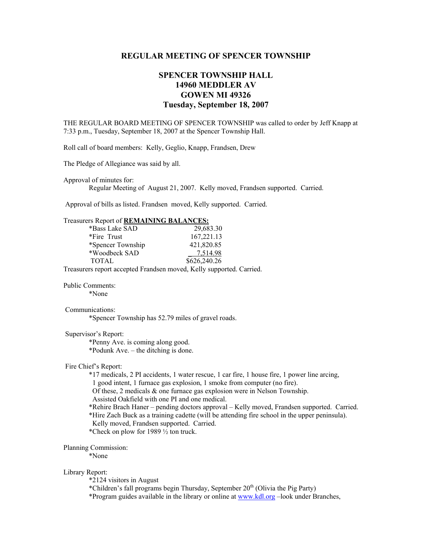# **REGULAR MEETING OF SPENCER TOWNSHIP**

# **SPENCER TOWNSHIP HALL 14960 MEDDLER AV GOWEN MI 49326 Tuesday, September 18, 2007**

THE REGULAR BOARD MEETING OF SPENCER TOWNSHIP was called to order by Jeff Knapp at 7:33 p.m., Tuesday, September 18, 2007 at the Spencer Township Hall.

Roll call of board members: Kelly, Geglio, Knapp, Frandsen, Drew

The Pledge of Allegiance was said by all.

Approval of minutes for:

Regular Meeting of August 21, 2007. Kelly moved, Frandsen supported. Carried.

Approval of bills as listed. Frandsen moved, Kelly supported. Carried.

# Treasurers Report of **REMAINING BALANCES:**

| *Bass Lake SAD                                                                                                 | 29,683.30    |
|----------------------------------------------------------------------------------------------------------------|--------------|
| *Fire Trust                                                                                                    | 167, 221.13  |
| *Spencer Township                                                                                              | 421,820.85   |
| *Woodbeck SAD                                                                                                  | 7,514.98     |
| <b>TOTAL</b>                                                                                                   | \$626,240.26 |
| The contract of the contract of the contract of the contract of the contract of the contract of the contract o |              |

Treasurers report accepted Frandsen moved, Kelly supported. Carried.

#### Public Comments:

\*None

## Communications:

\*Spencer Township has 52.79 miles of gravel roads.

### Supervisor's Report:

 \*Penny Ave. is coming along good. \*Podunk Ave. – the ditching is done.

#### Fire Chief's Report:

\*17 medicals, 2 PI accidents, 1 water rescue, 1 car fire, 1 house fire, 1 power line arcing,

1 good intent, 1 furnace gas explosion, 1 smoke from computer (no fire).

Of these, 2 medicals & one furnace gas explosion were in Nelson Township.

Assisted Oakfield with one PI and one medical.

\*Rehire Brach Haner – pending doctors approval – Kelly moved, Frandsen supported. Carried.

\*Hire Zach Buck as a training cadette (will be attending fire school in the upper peninsula).

Kelly moved, Frandsen supported. Carried.

\*Check on plow for 1989 ½ ton truck.

#### Planning Commission:

\*None

#### Library Report:

\*2124 visitors in August

\*Children's fall programs begin Thursday, September  $20<sup>th</sup>$  (Olivia the Pig Party)

\*Program guides available in the library or online at www.kdl.org –look under Branches,